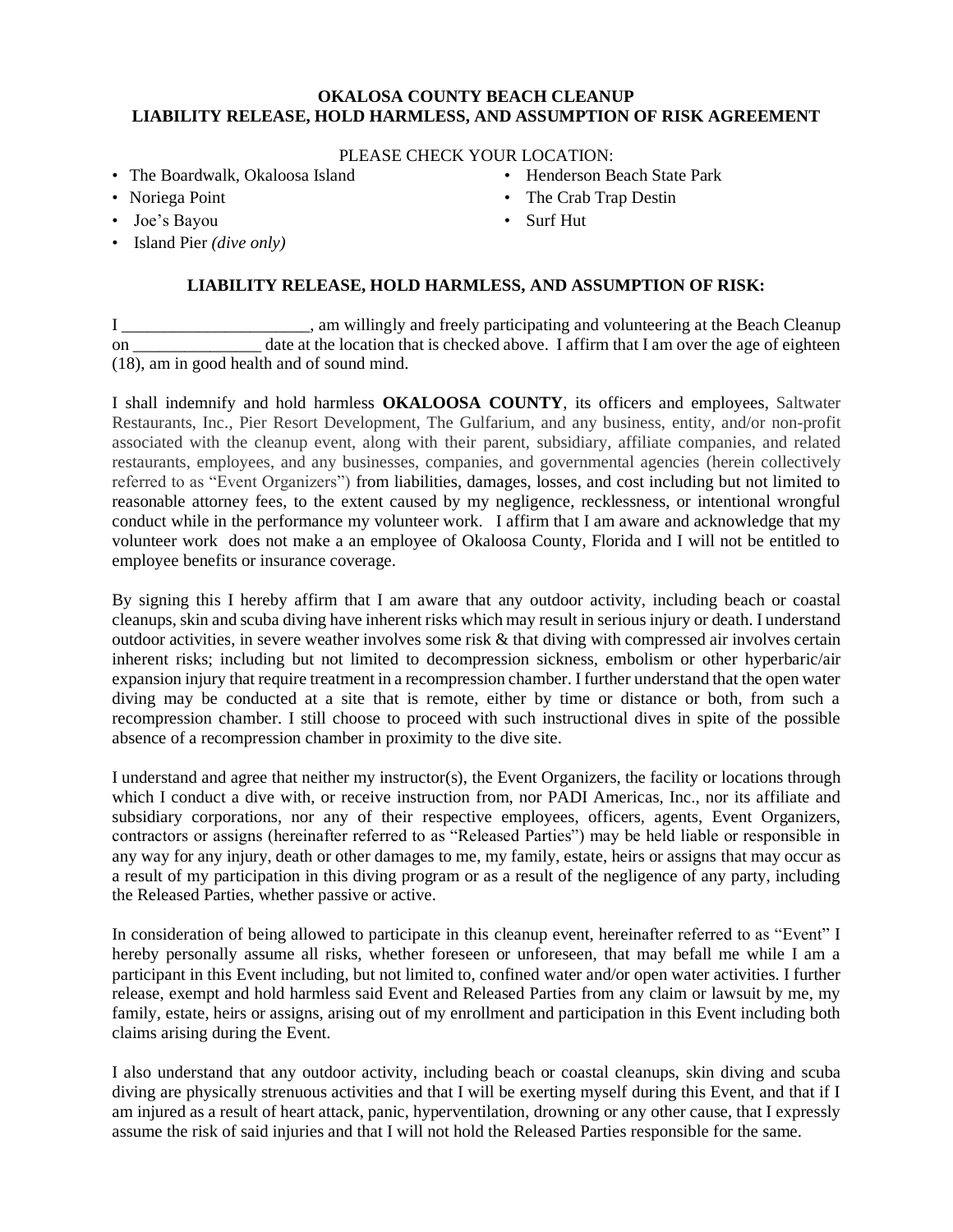## **OKALOSA COUNTY BEACH CLEANUP LIABILITY RELEASE, HOLD HARMLESS, AND ASSUMPTION OF RISK AGREEMENT**

PLEASE CHECK YOUR LOCATION:

- The Boardwalk, Okaloosa Island
- Noriega Point
- Joe's Bayou
- Island Pier *(dive only)*
- Henderson Beach State Park
- The Crab Trap Destin
- Surf Hut

## **LIABILITY RELEASE, HOLD HARMLESS, AND ASSUMPTION OF RISK:**

I \_\_\_\_\_\_\_\_\_\_\_\_\_\_\_\_\_\_\_\_\_\_, am willingly and freely participating and volunteering at the Beach Cleanup on date at the location that is checked above. I affirm that I am over the age of eighteen (18), am in good health and of sound mind.

I shall indemnify and hold harmless **OKALOOSA COUNTY**, its officers and employees, Saltwater Restaurants, Inc., Pier Resort Development, The Gulfarium, and any business, entity, and/or non-profit associated with the cleanup event, along with their parent, subsidiary, affiliate companies, and related restaurants, employees, and any businesses, companies, and governmental agencies (herein collectively referred to as "Event Organizers") from liabilities, damages, losses, and cost including but not limited to reasonable attorney fees, to the extent caused by my negligence, recklessness, or intentional wrongful conduct while in the performance my volunteer work. I affirm that I am aware and acknowledge that my volunteer work does not make a an employee of Okaloosa County, Florida and I will not be entitled to employee benefits or insurance coverage.

By signing this I hereby affirm that I am aware that any outdoor activity, including beach or coastal cleanups, skin and scuba diving have inherent risks which may result in serious injury or death. I understand outdoor activities, in severe weather involves some risk & that diving with compressed air involves certain inherent risks; including but not limited to decompression sickness, embolism or other hyperbaric/air expansion injury that require treatment in a recompression chamber. I further understand that the open water diving may be conducted at a site that is remote, either by time or distance or both, from such a recompression chamber. I still choose to proceed with such instructional dives in spite of the possible absence of a recompression chamber in proximity to the dive site.

I understand and agree that neither my instructor(s), the Event Organizers, the facility or locations through which I conduct a dive with, or receive instruction from, nor PADI Americas, Inc., nor its affiliate and subsidiary corporations, nor any of their respective employees, officers, agents, Event Organizers, contractors or assigns (hereinafter referred to as "Released Parties") may be held liable or responsible in any way for any injury, death or other damages to me, my family, estate, heirs or assigns that may occur as a result of my participation in this diving program or as a result of the negligence of any party, including the Released Parties, whether passive or active.

In consideration of being allowed to participate in this cleanup event, hereinafter referred to as "Event" I hereby personally assume all risks, whether foreseen or unforeseen, that may befall me while I am a participant in this Event including, but not limited to, confined water and/or open water activities. I further release, exempt and hold harmless said Event and Released Parties from any claim or lawsuit by me, my family, estate, heirs or assigns, arising out of my enrollment and participation in this Event including both claims arising during the Event.

I also understand that any outdoor activity, including beach or coastal cleanups, skin diving and scuba diving are physically strenuous activities and that I will be exerting myself during this Event, and that if I am injured as a result of heart attack, panic, hyperventilation, drowning or any other cause, that I expressly assume the risk of said injuries and that I will not hold the Released Parties responsible for the same.